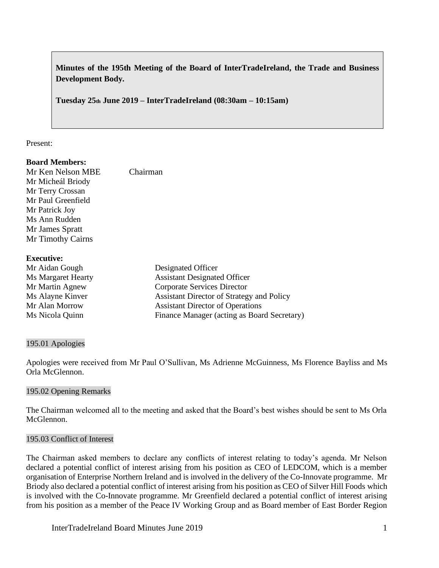**Minutes of the 195th Meeting of the Board of InterTradeIreland, the Trade and Business Development Body.**

**Tuesday 25th June 2019 – InterTradeIreland (08:30am – 10:15am)**

### Present:

# **Board Members:**

| Mr Ken Nelson MBE  | Chairman |
|--------------------|----------|
| Mr Micheál Briody  |          |
| Mr Terry Crossan   |          |
| Mr Paul Greenfield |          |
| Mr Patrick Joy     |          |
| Ms Ann Rudden      |          |
| Mr James Spratt    |          |
| Mr Timothy Cairns  |          |
|                    |          |

### **Executive:**

| Mr Aidan Gough     | Designated Officer                          |
|--------------------|---------------------------------------------|
| Ms Margaret Hearty | <b>Assistant Designated Officer</b>         |
| Mr Martin Agnew    | Corporate Services Director                 |
| Ms Alayne Kinver   | Assistant Director of Strategy and Policy   |
| Mr Alan Morrow     | <b>Assistant Director of Operations</b>     |
| Ms Nicola Quinn    | Finance Manager (acting as Board Secretary) |

### 195.01 Apologies

Apologies were received from Mr Paul O'Sullivan, Ms Adrienne McGuinness, Ms Florence Bayliss and Ms Orla McGlennon.

### 195.02 Opening Remarks

The Chairman welcomed all to the meeting and asked that the Board's best wishes should be sent to Ms Orla McGlennon.

## 195.03 Conflict of Interest

The Chairman asked members to declare any conflicts of interest relating to today's agenda. Mr Nelson declared a potential conflict of interest arising from his position as CEO of LEDCOM, which is a member organisation of Enterprise Northern Ireland and is involved in the delivery of the Co-Innovate programme. Mr Briody also declared a potential conflict of interest arising from his position as CEO of Silver Hill Foods which is involved with the Co-Innovate programme. Mr Greenfield declared a potential conflict of interest arising from his position as a member of the Peace IV Working Group and as Board member of East Border Region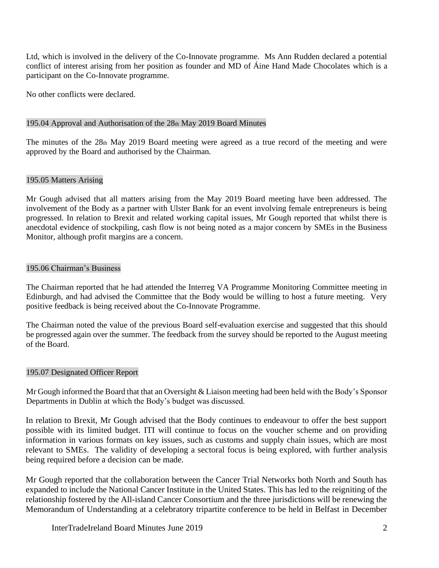Ltd, which is involved in the delivery of the Co-Innovate programme. Ms Ann Rudden declared a potential conflict of interest arising from her position as founder and MD of Áine Hand Made Chocolates which is a participant on the Co-Innovate programme.

No other conflicts were declared.

### 195.04 Approval and Authorisation of the 28th May 2019 Board Minutes

The minutes of the 28th May 2019 Board meeting were agreed as a true record of the meeting and were approved by the Board and authorised by the Chairman.

### 195.05 Matters Arising

Mr Gough advised that all matters arising from the May 2019 Board meeting have been addressed. The involvement of the Body as a partner with Ulster Bank for an event involving female entrepreneurs is being progressed. In relation to Brexit and related working capital issues, Mr Gough reported that whilst there is anecdotal evidence of stockpiling, cash flow is not being noted as a major concern by SMEs in the Business Monitor, although profit margins are a concern.

### 195.06 Chairman's Business

The Chairman reported that he had attended the Interreg VA Programme Monitoring Committee meeting in Edinburgh, and had advised the Committee that the Body would be willing to host a future meeting. Very positive feedback is being received about the Co-Innovate Programme.

The Chairman noted the value of the previous Board self-evaluation exercise and suggested that this should be progressed again over the summer. The feedback from the survey should be reported to the August meeting of the Board.

### 195.07 Designated Officer Report

Mr Gough informed the Board that that an Oversight & Liaison meeting had been held with the Body's Sponsor Departments in Dublin at which the Body's budget was discussed.

In relation to Brexit, Mr Gough advised that the Body continues to endeavour to offer the best support possible with its limited budget. ITI will continue to focus on the voucher scheme and on providing information in various formats on key issues, such as customs and supply chain issues, which are most relevant to SMEs. The validity of developing a sectoral focus is being explored, with further analysis being required before a decision can be made.

Mr Gough reported that the collaboration between the Cancer Trial Networks both North and South has expanded to include the National Cancer Institute in the United States. This has led to the reigniting of the relationship fostered by the All-island Cancer Consortium and the three jurisdictions will be renewing the Memorandum of Understanding at a celebratory tripartite conference to be held in Belfast in December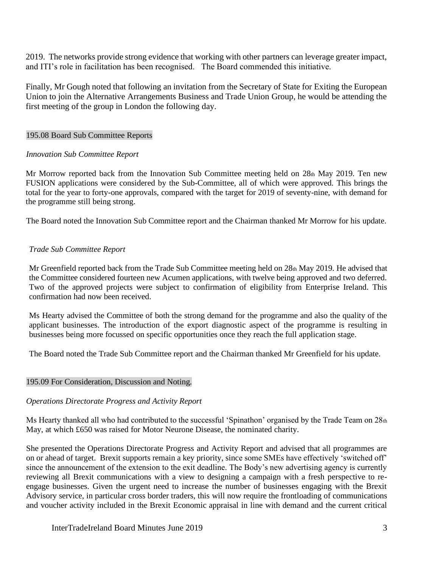2019. The networks provide strong evidence that working with other partners can leverage greater impact, and ITI's role in facilitation has been recognised. The Board commended this initiative.

Finally, Mr Gough noted that following an invitation from the Secretary of State for Exiting the European Union to join the Alternative Arrangements Business and Trade Union Group, he would be attending the first meeting of the group in London the following day.

## 195.08 Board Sub Committee Reports

### *Innovation Sub Committee Report*

Mr Morrow reported back from the Innovation Sub Committee meeting held on 28th May 2019. Ten new FUSION applications were considered by the Sub-Committee, all of which were approved. This brings the total for the year to forty-one approvals, compared with the target for 2019 of seventy-nine, with demand for the programme still being strong.

The Board noted the Innovation Sub Committee report and the Chairman thanked Mr Morrow for his update.

## *Trade Sub Committee Report*

Mr Greenfield reported back from the Trade Sub Committee meeting held on 28th May 2019. He advised that the Committee considered fourteen new Acumen applications, with twelve being approved and two deferred. Two of the approved projects were subject to confirmation of eligibility from Enterprise Ireland. This confirmation had now been received.

Ms Hearty advised the Committee of both the strong demand for the programme and also the quality of the applicant businesses. The introduction of the export diagnostic aspect of the programme is resulting in businesses being more focussed on specific opportunities once they reach the full application stage.

The Board noted the Trade Sub Committee report and the Chairman thanked Mr Greenfield for his update.

### 195.09 For Consideration, Discussion and Noting.

## *Operations Directorate Progress and Activity Report*

Ms Hearty thanked all who had contributed to the successful 'Spinathon' organised by the Trade Team on 28th May, at which £650 was raised for Motor Neurone Disease, the nominated charity.

She presented the Operations Directorate Progress and Activity Report and advised that all programmes are on or ahead of target. Brexit supports remain a key priority, since some SMEs have effectively 'switched off' since the announcement of the extension to the exit deadline. The Body's new advertising agency is currently reviewing all Brexit communications with a view to designing a campaign with a fresh perspective to reengage businesses. Given the urgent need to increase the number of businesses engaging with the Brexit Advisory service, in particular cross border traders, this will now require the frontloading of communications and voucher activity included in the Brexit Economic appraisal in line with demand and the current critical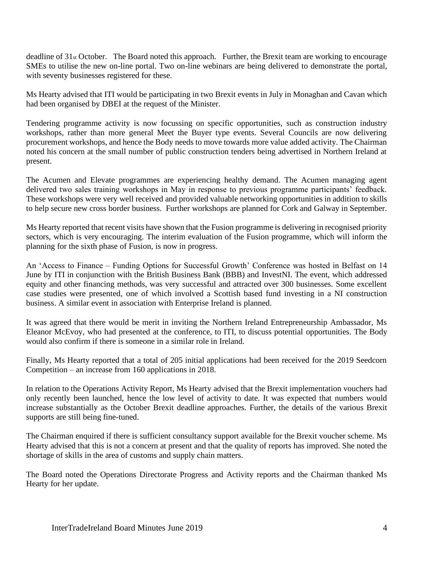deadline of  $31_{st}$  October. The Board noted this approach. Further, the Brexit team are working to encourage SMEs to utilise the new on-line portal. Two on-line webinars are being delivered to demonstrate the portal, with seventy businesses registered for these.

Ms Hearty advised that ITI would be participating in two Brexit events in July in Monaghan and Cavan which had been organised by DBEI at the request of the Minister.

Tendering programme activity is now focussing on specific opportunities, such as construction industry workshops, rather than more general Meet the Buyer type events. Several Councils are now delivering procurement workshops, and hence the Body needs to move towards more value added activity. The Chairman noted his concern at the small number of public construction tenders being advertised in Northern Ireland at present.

The Acumen and Elevate programmes are experiencing healthy demand. The Acumen managing agent delivered two sales training workshops in May in response to previous programme participants' feedback. These workshops were very well received and provided valuable networking opportunities in addition to skills to help secure new cross border business. Further workshops are planned for Cork and Galway in September.

Ms Hearty reported that recent visits have shown that the Fusion programme is delivering in recognised priority sectors, which is very encouraging. The interim evaluation of the Fusion programme, which will inform the planning for the sixth phase of Fusion, is now in progress.

An 'Access to Finance – Funding Options for Successful Growth' Conference was hosted in Belfast on 14 June by ITI in conjunction with the British Business Bank (BBB) and InvestNI. The event, which addressed equity and other financing methods, was very successful and attracted over 300 businesses. Some excellent case studies were presented, one of which involved a Scottish based fund investing in a NI construction business. A similar event in association with Enterprise Ireland is planned.

It was agreed that there would be merit in inviting the Northern Ireland Entrepreneurship Ambassador, Ms Eleanor McEvoy, who had presented at the conference, to ITI, to discuss potential opportunities. The Body would also confirm if there is someone in a similar role in Ireland.

Finally, Ms Hearty reported that a total of 205 initial applications had been received for the 2019 Seedcorn Competition – an increase from 160 applications in 2018.

In relation to the Operations Activity Report, Ms Hearty advised that the Brexit implementation vouchers had only recently been launched, hence the low level of activity to date. It was expected that numbers would increase substantially as the October Brexit deadline approaches. Further, the details of the various Brexit supports are still being fine-tuned.

The Chairman enquired if there is sufficient consultancy support available for the Brexit voucher scheme. Ms Hearty advised that this is not a concern at present and that the quality of reports has improved. She noted the shortage of skills in the area of customs and supply chain matters.

The Board noted the Operations Directorate Progress and Activity reports and the Chairman thanked Ms Hearty for her update.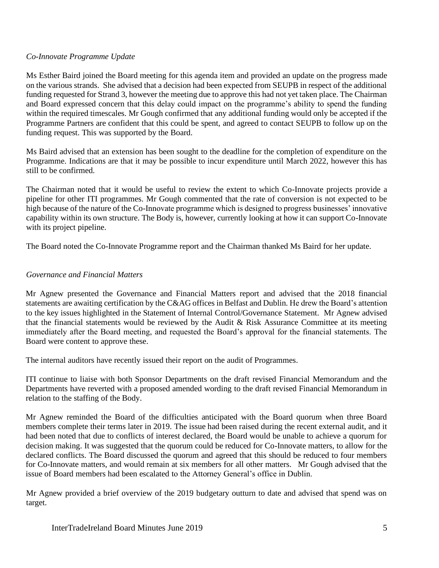## *Co-Innovate Programme Update*

Ms Esther Baird joined the Board meeting for this agenda item and provided an update on the progress made on the various strands. She advised that a decision had been expected from SEUPB in respect of the additional funding requested for Strand 3, however the meeting due to approve this had not yet taken place. The Chairman and Board expressed concern that this delay could impact on the programme's ability to spend the funding within the required timescales. Mr Gough confirmed that any additional funding would only be accepted if the Programme Partners are confident that this could be spent, and agreed to contact SEUPB to follow up on the funding request. This was supported by the Board.

Ms Baird advised that an extension has been sought to the deadline for the completion of expenditure on the Programme. Indications are that it may be possible to incur expenditure until March 2022, however this has still to be confirmed.

The Chairman noted that it would be useful to review the extent to which Co-Innovate projects provide a pipeline for other ITI programmes. Mr Gough commented that the rate of conversion is not expected to be high because of the nature of the Co-Innovate programme which is designed to progress businesses' innovative capability within its own structure. The Body is, however, currently looking at how it can support Co-Innovate with its project pipeline.

The Board noted the Co-Innovate Programme report and the Chairman thanked Ms Baird for her update.

### *Governance and Financial Matters*

Mr Agnew presented the Governance and Financial Matters report and advised that the 2018 financial statements are awaiting certification by the C&AG offices in Belfast and Dublin. He drew the Board's attention to the key issues highlighted in the Statement of Internal Control/Governance Statement. Mr Agnew advised that the financial statements would be reviewed by the Audit & Risk Assurance Committee at its meeting immediately after the Board meeting, and requested the Board's approval for the financial statements. The Board were content to approve these.

The internal auditors have recently issued their report on the audit of Programmes.

ITI continue to liaise with both Sponsor Departments on the draft revised Financial Memorandum and the Departments have reverted with a proposed amended wording to the draft revised Financial Memorandum in relation to the staffing of the Body.

Mr Agnew reminded the Board of the difficulties anticipated with the Board quorum when three Board members complete their terms later in 2019. The issue had been raised during the recent external audit, and it had been noted that due to conflicts of interest declared, the Board would be unable to achieve a quorum for decision making. It was suggested that the quorum could be reduced for Co-Innovate matters, to allow for the declared conflicts. The Board discussed the quorum and agreed that this should be reduced to four members for Co-Innovate matters, and would remain at six members for all other matters. Mr Gough advised that the issue of Board members had been escalated to the Attorney General's office in Dublin.

Mr Agnew provided a brief overview of the 2019 budgetary outturn to date and advised that spend was on target.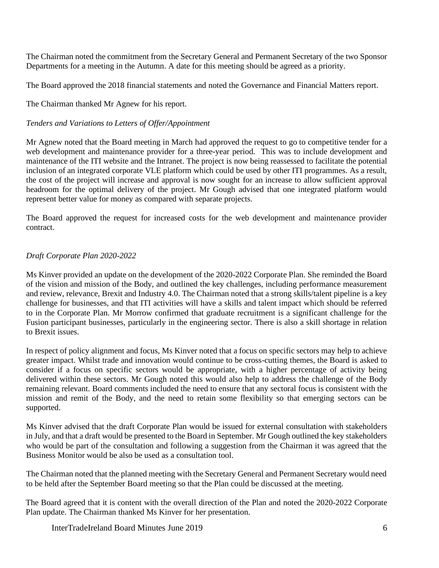The Chairman noted the commitment from the Secretary General and Permanent Secretary of the two Sponsor Departments for a meeting in the Autumn. A date for this meeting should be agreed as a priority.

The Board approved the 2018 financial statements and noted the Governance and Financial Matters report.

The Chairman thanked Mr Agnew for his report.

## *Tenders and Variations to Letters of Offer/Appointment*

Mr Agnew noted that the Board meeting in March had approved the request to go to competitive tender for a web development and maintenance provider for a three-year period. This was to include development and maintenance of the ITI website and the Intranet. The project is now being reassessed to facilitate the potential inclusion of an integrated corporate VLE platform which could be used by other ITI programmes. As a result, the cost of the project will increase and approval is now sought for an increase to allow sufficient approval headroom for the optimal delivery of the project. Mr Gough advised that one integrated platform would represent better value for money as compared with separate projects.

The Board approved the request for increased costs for the web development and maintenance provider contract.

# *Draft Corporate Plan 2020-2022*

Ms Kinver provided an update on the development of the 2020-2022 Corporate Plan. She reminded the Board of the vision and mission of the Body, and outlined the key challenges, including performance measurement and review, relevance, Brexit and Industry 4.0. The Chairman noted that a strong skills/talent pipeline is a key challenge for businesses, and that ITI activities will have a skills and talent impact which should be referred to in the Corporate Plan. Mr Morrow confirmed that graduate recruitment is a significant challenge for the Fusion participant businesses, particularly in the engineering sector. There is also a skill shortage in relation to Brexit issues.

In respect of policy alignment and focus, Ms Kinver noted that a focus on specific sectors may help to achieve greater impact. Whilst trade and innovation would continue to be cross-cutting themes, the Board is asked to consider if a focus on specific sectors would be appropriate, with a higher percentage of activity being delivered within these sectors. Mr Gough noted this would also help to address the challenge of the Body remaining relevant. Board comments included the need to ensure that any sectoral focus is consistent with the mission and remit of the Body, and the need to retain some flexibility so that emerging sectors can be supported.

Ms Kinver advised that the draft Corporate Plan would be issued for external consultation with stakeholders in July, and that a draft would be presented to the Board in September. Mr Gough outlined the key stakeholders who would be part of the consultation and following a suggestion from the Chairman it was agreed that the Business Monitor would be also be used as a consultation tool.

The Chairman noted that the planned meeting with the Secretary General and Permanent Secretary would need to be held after the September Board meeting so that the Plan could be discussed at the meeting.

The Board agreed that it is content with the overall direction of the Plan and noted the 2020-2022 Corporate Plan update. The Chairman thanked Ms Kinver for her presentation.

InterTradeIreland Board Minutes June 2019 6